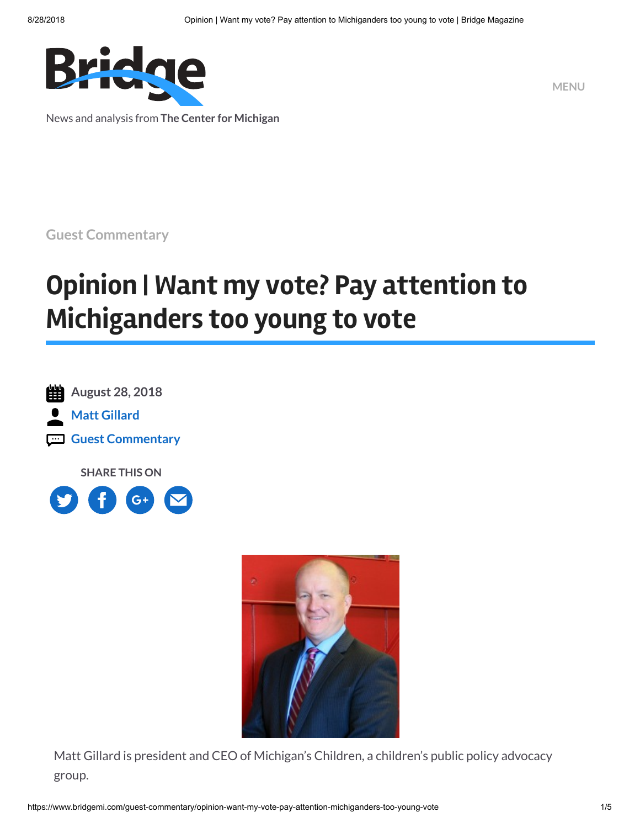

News and analysis from **The Center for Michigan**

**MENU**

**Guest [Commentary](https://www.bridgemi.com/topics/guest-commentary)**

# **Opinion | Want my vote? Pay attention to Michiganders too young to vote**

**August 28, 2018 Matt [Gillard](https://www.bridgemi.com/about/matt-gillard-0) Guest [Commentary](https://www.bridgemi.com/topics/guest-commentary)**

**SHARE THIS ON**





Matt Gillard is president and CEO of Michigan's Children, a children's public policy advocacy group.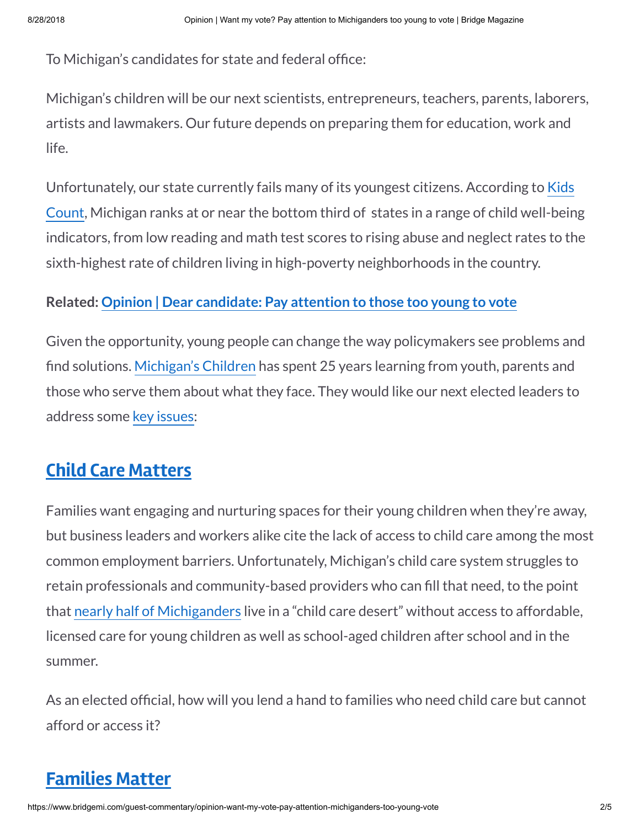To Michigan's candidates for state and federal office:

Michigan's children will be our next scientists, entrepreneurs, teachers, parents, laborers, artists and lawmakers. Our future depends on preparing them for education, work and life.

[Unfortunately,](http://www.aecf.org/resources/2018-kids-count-data-book/) our state currently fails many of its youngest citizens. According to Kids Count, Michigan ranks at or near the bottom third of states in a range of child well-being indicators, from low reading and math test scores to rising abuse and neglect rates to the sixth-highest rate of children living in high-poverty neighborhoods in the country.

#### **Related: Opinion | Dear [candidate:](https://www.bridgemi.com/guest-commentary/opinion-dear-candidate-pay-attention-those-too-young-vote) Pay attention to those too young to vote**

Given the opportunity, young people can change the way policymakers see problems and find solutions. [Michigan's](https://www.michiganschildren.org/) Children has spent 25 years learning from youth, parents and those who serve them about what they face. They would like our next elected leaders to address some key [issues:](https://www.michiganschildren.org/sandbox/)

### **Child Care [Matters](https://www.michiganschildren.org/download/19229/)**

Families want engaging and nurturing spaces for their young children when they're away, but business leaders and workers alike cite the lack of access to child care among the most common employment barriers. Unfortunately, Michigan's child care system struggles to retain professionals and community-based providers who can fill that need, to the point that nearly half of [Michiganders](https://childcaredeserts.org/?state=MI) live in a "child care desert" without access to affordable, licensed care for young children as well as school-aged children after school and in the summer.

As an elected official, how will you lend a hand to families who need child care but cannot afford or access it?

## **[Families Matter](https://www.michiganschildren.org/download/19266/)**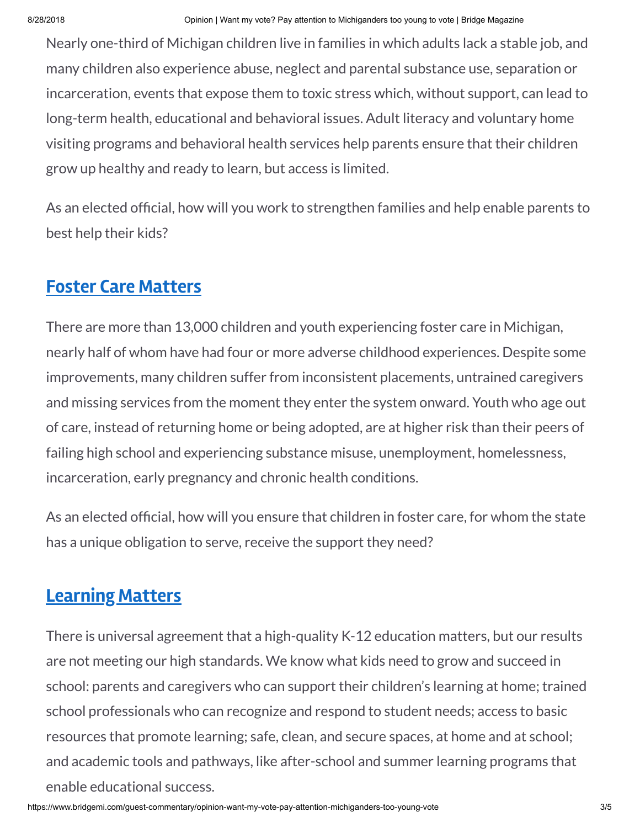Nearly one-third of Michigan children live in families in which adults lack a stable job, and many children also experience abuse, neglect and parental substance use, separation or incarceration, events that expose them to toxic stress which, without support, can lead to long-term health, educational and behavioral issues. Adult literacy and voluntary home visiting programs and behavioral health services help parents ensure that their children grow up healthy and ready to learn, but access is limited.

As an elected official, how will you work to strengthen families and help enable parents to best help their kids?

## **Foster Care [Matters](https://www.michiganschildren.org/download/19235/)**

There are more than 13,000 children and youth experiencing foster care in Michigan, nearly half of whom have had four or more adverse childhood experiences. Despite some improvements, many children suffer from inconsistent placements, untrained caregivers and missing services from the moment they enter the system onward. Youth who age out of care, instead of returning home or being adopted, are at higher risk than their peers of failing high school and experiencing substance misuse, unemployment, homelessness, incarceration, early pregnancy and chronic health conditions.

As an elected official, how will you ensure that children in foster care, for whom the state has a unique obligation to serve, receive the support they need?

## **[Learning](https://www.michiganschildren.org/download/19210/) Matters**

There is universal agreement that a high-quality K-12 education matters, but our results are not meeting our high standards. We know what kids need to grow and succeed in school: parents and caregivers who can support their children's learning at home; trained school professionals who can recognize and respond to student needs; access to basic resources that promote learning; safe, clean, and secure spaces, at home and at school; and academic tools and pathways, like after-school and summer learning programs that enable educational success.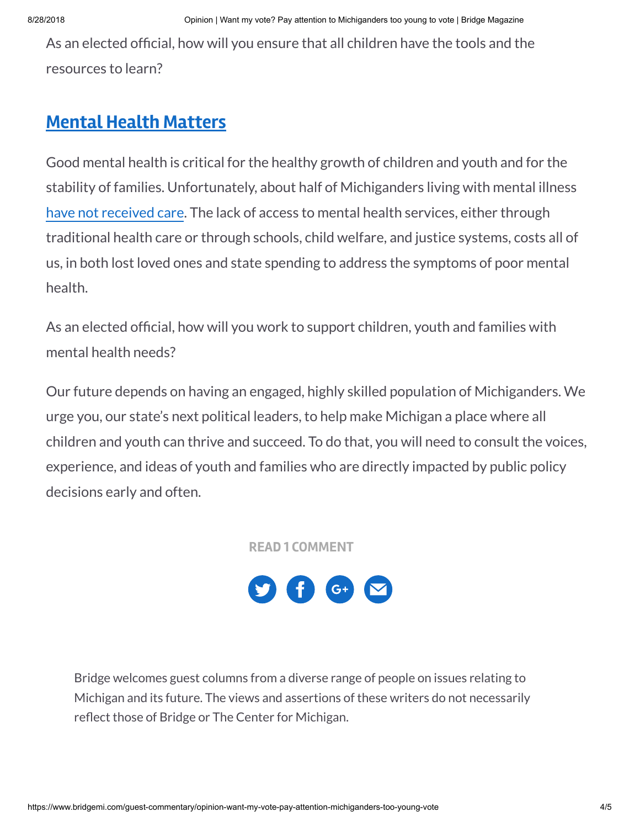As an elected official, how will you ensure that all children have the tools and the resources to learn?

## **Mental Health [Matters](https://www.michiganschildren.org/download/19271/)**

Good mental health is critical for the healthy growth of children and youth and for the stability of families. Unfortunately, about half of Michiganders living with mental illness have not [received](https://www.samhsa.gov/data/sites/default/files/Michigan_BHBarometer_Volume_4.pdf) care. The lack of access to mental health services, either through traditional health care or through schools, child welfare, and justice systems, costs all of us, in both lost loved ones and state spending to address the symptoms of poor mental health.

As an elected official, how will you work to support children, youth and families with mental health needs?

Our future depends on having an engaged, highly skilled population of Michiganders. We urge you, our state's next political leaders, to help make Michigan a place where all children and youth can thrive and succeed. To do that, you will need to consult the voices, experience, and ideas of youth and families who are directly impacted by public policy decisions early and often.

**READ 1 [COMMENT](https://www.bridgemi.com/guest-commentary/opinion-want-my-vote-pay-attention-michiganders-too-young-vote)**



Bridge welcomes guest columns from a diverse range of people on issues relating to Michigan and its future. The views and assertions of these writers do not necessarily reflect those of Bridge or The Center for Michigan.